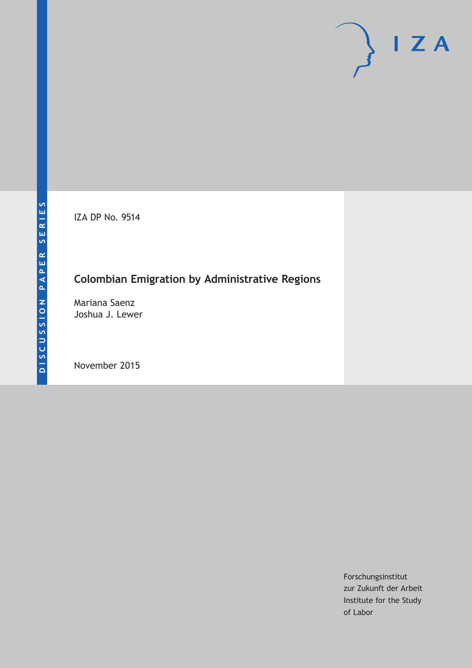IZA DP No. 9514

# **Colombian Emigration by Administrative Regions**

Mariana Saenz Joshua J. Lewer

November 2015

Forschungsinstitut zur Zukunft der Arbeit Institute for the Study of Labor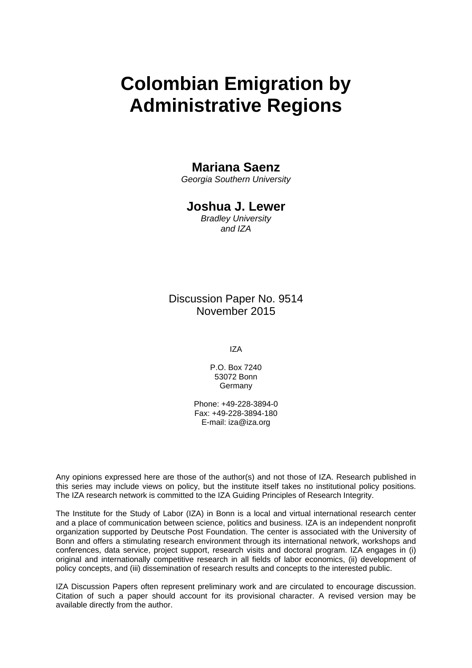# **Colombian Emigration by Administrative Regions**

### **Mariana Saenz**

*Georgia Southern University* 

## **Joshua J. Lewer**

*Bradley University and IZA* 

Discussion Paper No. 9514 November 2015

IZA

P.O. Box 7240 53072 Bonn **Germany** 

Phone: +49-228-3894-0 Fax: +49-228-3894-180 E-mail: iza@iza.org

Any opinions expressed here are those of the author(s) and not those of IZA. Research published in this series may include views on policy, but the institute itself takes no institutional policy positions. The IZA research network is committed to the IZA Guiding Principles of Research Integrity.

The Institute for the Study of Labor (IZA) in Bonn is a local and virtual international research center and a place of communication between science, politics and business. IZA is an independent nonprofit organization supported by Deutsche Post Foundation. The center is associated with the University of Bonn and offers a stimulating research environment through its international network, workshops and conferences, data service, project support, research visits and doctoral program. IZA engages in (i) original and internationally competitive research in all fields of labor economics, (ii) development of policy concepts, and (iii) dissemination of research results and concepts to the interested public.

IZA Discussion Papers often represent preliminary work and are circulated to encourage discussion. Citation of such a paper should account for its provisional character. A revised version may be available directly from the author.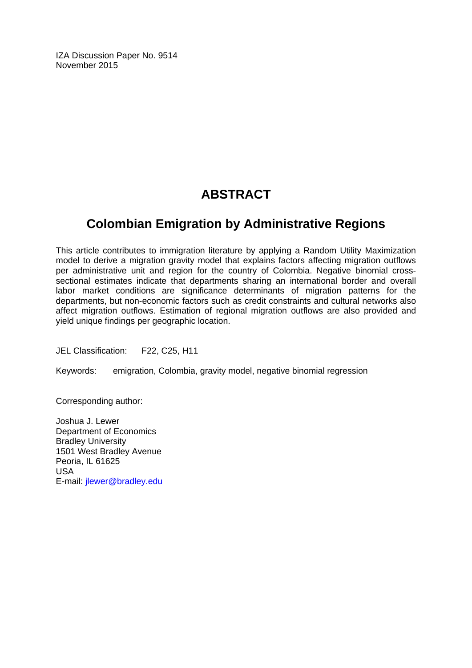IZA Discussion Paper No. 9514 November 2015

# **ABSTRACT**

# **Colombian Emigration by Administrative Regions**

This article contributes to immigration literature by applying a Random Utility Maximization model to derive a migration gravity model that explains factors affecting migration outflows per administrative unit and region for the country of Colombia. Negative binomial crosssectional estimates indicate that departments sharing an international border and overall labor market conditions are significance determinants of migration patterns for the departments, but non-economic factors such as credit constraints and cultural networks also affect migration outflows. Estimation of regional migration outflows are also provided and yield unique findings per geographic location.

JEL Classification: F22, C25, H11

Keywords: emigration, Colombia, gravity model, negative binomial regression

Corresponding author:

Joshua J. Lewer Department of Economics Bradley University 1501 West Bradley Avenue Peoria, IL 61625 USA E-mail: jlewer@bradley.edu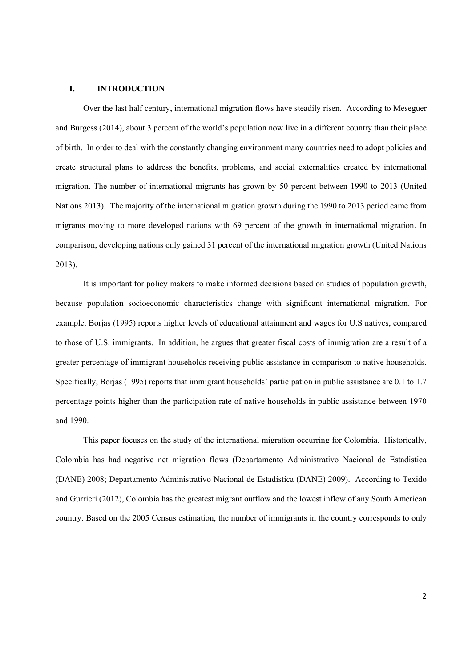#### **I. INTRODUCTION**

Over the last half century, international migration flows have steadily risen. According to Meseguer and Burgess (2014), about 3 percent of the world's population now live in a different country than their place of birth. In order to deal with the constantly changing environment many countries need to adopt policies and create structural plans to address the benefits, problems, and social externalities created by international migration. The number of international migrants has grown by 50 percent between 1990 to 2013 (United Nations 2013). The majority of the international migration growth during the 1990 to 2013 period came from migrants moving to more developed nations with 69 percent of the growth in international migration. In comparison, developing nations only gained 31 percent of the international migration growth (United Nations 2013).

It is important for policy makers to make informed decisions based on studies of population growth, because population socioeconomic characteristics change with significant international migration. For example, Borjas (1995) reports higher levels of educational attainment and wages for U.S natives, compared to those of U.S. immigrants. In addition, he argues that greater fiscal costs of immigration are a result of a greater percentage of immigrant households receiving public assistance in comparison to native households. Specifically, Borjas (1995) reports that immigrant households' participation in public assistance are 0.1 to 1.7 percentage points higher than the participation rate of native households in public assistance between 1970 and 1990.

This paper focuses on the study of the international migration occurring for Colombia. Historically, Colombia has had negative net migration flows (Departamento Administrativo Nacional de Estadistica (DANE) 2008; Departamento Administrativo Nacional de Estadistica (DANE) 2009). According to Texido and Gurrieri (2012), Colombia has the greatest migrant outflow and the lowest inflow of any South American country. Based on the 2005 Census estimation, the number of immigrants in the country corresponds to only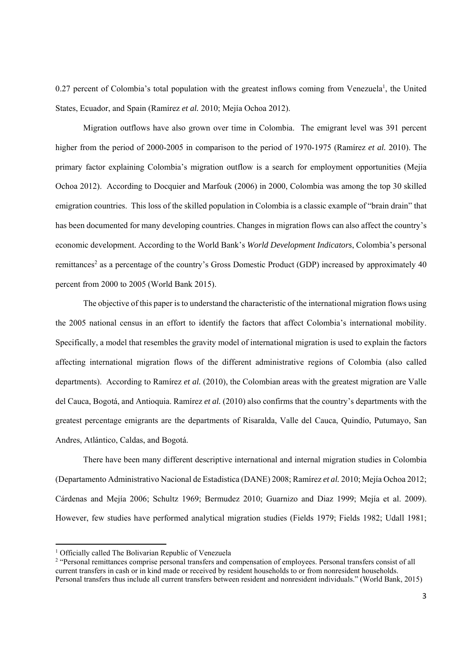0.27 percent of Colombia's total population with the greatest inflows coming from Venezuela<sup>1</sup>, the United States, Ecuador, and Spain (Ramírez *et al.* 2010; Mejía Ochoa 2012).

Migration outflows have also grown over time in Colombia. The emigrant level was 391 percent higher from the period of 2000-2005 in comparison to the period of 1970-1975 (Ramírez *et al.* 2010). The primary factor explaining Colombia's migration outflow is a search for employment opportunities (Mejía Ochoa 2012). According to Docquier and Marfouk (2006) in 2000, Colombia was among the top 30 skilled emigration countries. This loss of the skilled population in Colombia is a classic example of "brain drain" that has been documented for many developing countries. Changes in migration flows can also affect the country's economic development. According to the World Bank's *World Development Indicators*, Colombia's personal remittances<sup>2</sup> as a percentage of the country's Gross Domestic Product (GDP) increased by approximately 40 percent from 2000 to 2005 (World Bank 2015).

The objective of this paper is to understand the characteristic of the international migration flows using the 2005 national census in an effort to identify the factors that affect Colombia's international mobility. Specifically, a model that resembles the gravity model of international migration is used to explain the factors affecting international migration flows of the different administrative regions of Colombia (also called departments). According to Ramírez *et al.* (2010), the Colombian areas with the greatest migration are Valle del Cauca, Bogotá, and Antioquia. Ramírez *et al.* (2010) also confirms that the country's departments with the greatest percentage emigrants are the departments of Risaralda, Valle del Cauca, Quindío, Putumayo, San Andres, Atlántico, Caldas, and Bogotá.

There have been many different descriptive international and internal migration studies in Colombia (Departamento Administrativo Nacional de Estadistica (DANE) 2008; Ramírez *et al.* 2010; Mejía Ochoa 2012; Cárdenas and Mejía 2006; Schultz 1969; Bermudez 2010; Guarnizo and Diaz 1999; Mejía et al. 2009). However, few studies have performed analytical migration studies (Fields 1979; Fields 1982; Udall 1981;

<sup>&</sup>lt;sup>1</sup> Officially called The Bolivarian Republic of Venezuela

<sup>&</sup>lt;sup>2</sup> "Personal remittances comprise personal transfers and compensation of employees. Personal transfers consist of all current transfers in cash or in kind made or received by resident households to or from nonresident households. Personal transfers thus include all current transfers between resident and nonresident individuals." (World Bank, 2015)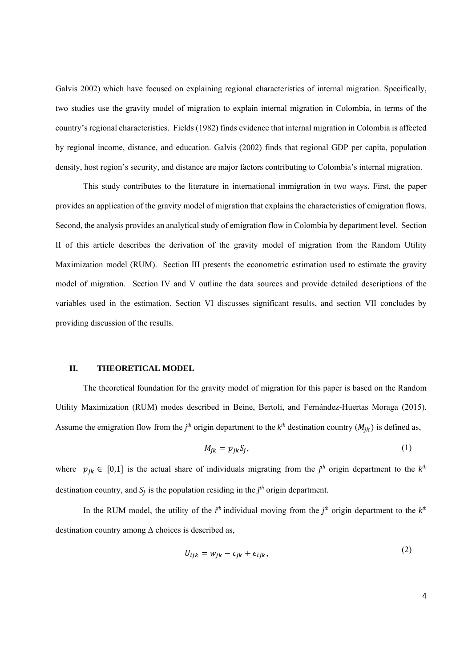Galvis 2002) which have focused on explaining regional characteristics of internal migration. Specifically, two studies use the gravity model of migration to explain internal migration in Colombia, in terms of the country's regional characteristics. Fields (1982) finds evidence that internal migration in Colombia is affected by regional income, distance, and education. Galvis (2002) finds that regional GDP per capita, population density, host region's security, and distance are major factors contributing to Colombia's internal migration.

This study contributes to the literature in international immigration in two ways. First, the paper provides an application of the gravity model of migration that explains the characteristics of emigration flows. Second, the analysis provides an analytical study of emigration flow in Colombia by department level. Section II of this article describes the derivation of the gravity model of migration from the Random Utility Maximization model (RUM). Section III presents the econometric estimation used to estimate the gravity model of migration. Section IV and V outline the data sources and provide detailed descriptions of the variables used in the estimation. Section VI discusses significant results, and section VII concludes by providing discussion of the results.

#### **II. THEORETICAL MODEL**

The theoretical foundation for the gravity model of migration for this paper is based on the Random Utility Maximization (RUM) modes described in Beine, Bertoli, and Fernández-Huertas Moraga (2015). Assume the emigration flow from the  $j<sup>th</sup>$  origin department to the  $k<sup>th</sup>$  destination country  $(M<sub>jk</sub>)$  is defined as,

$$
M_{jk} = p_{jk} S_j,\tag{1}
$$

where  $p_{jk} \in [0,1]$  is the actual share of individuals migrating from the  $j<sup>th</sup>$  origin department to the  $k<sup>th</sup>$ destination country, and  $S_j$  is the population residing in the  $j<sup>th</sup>$  origin department.

In the RUM model, the utility of the  $i<sup>th</sup>$  individual moving from the  $j<sup>th</sup>$  origin department to the  $k<sup>th</sup>$ destination country among  $\Delta$  choices is described as,

$$
U_{ijk} = w_{jk} - c_{jk} + \epsilon_{ijk},\tag{2}
$$

4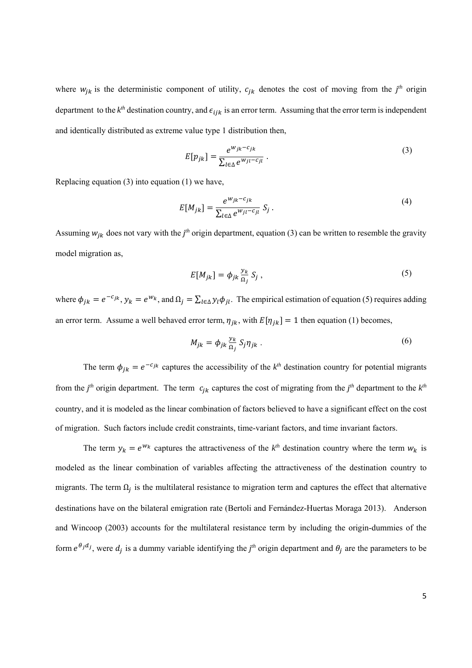where  $w_{jk}$  is the deterministic component of utility,  $c_{jk}$  denotes the cost of moving from the  $j<sup>th</sup>$  origin department to the  $k^{th}$  destination country, and  $\epsilon_{ijk}$  is an error term. Assuming that the error term is independent and identically distributed as extreme value type 1 distribution then,

$$
E[p_{jk}] = \frac{e^{W_{jk} - c_{jk}}}{\sum_{l \in \Delta} e^{W_{jl} - c_{jl}}}.
$$
\n(3)

Replacing equation (3) into equation (1) we have,

$$
E[M_{jk}] = \frac{e^{W_{jk} - c_{jk}}}{\sum_{l \in \Delta} e^{W_{jl} - c_{jl}}} S_j.
$$
 (4)

Assuming  $w_{jk}$  does not vary with the  $j<sup>th</sup>$  origin department, equation (3) can be written to resemble the gravity model migration as,

$$
E[M_{jk}] = \phi_{jk} \frac{y_k}{\Omega_j} S_j , \qquad (5)
$$

where  $\phi_{jk} = e^{-c_{jk}}$ ,  $y_k = e^{w_k}$ , and  $\Omega_j = \sum_{l \in \Delta} y_l \phi_{jl}$ . The empirical estimation of equation (5) requires adding an error term. Assume a well behaved error term,  $\eta_{jk}$ , with  $E[\eta_{jk}] = 1$  then equation (1) becomes,

$$
M_{jk} = \phi_{jk} \frac{y_k}{\Omega_j} S_j \eta_{jk} \tag{6}
$$

The term  $\phi_{jk} = e^{-c_{jk}}$  captures the accessibility of the  $k^{th}$  destination country for potential migrants from the  $j<sup>th</sup>$  origin department. The term  $c_{jk}$  captures the cost of migrating from the  $j<sup>th</sup>$  department to the  $k<sup>th</sup>$ country, and it is modeled as the linear combination of factors believed to have a significant effect on the cost of migration. Such factors include credit constraints, time-variant factors, and time invariant factors.

The term  $y_k = e^{w_k}$  captures the attractiveness of the  $k^{th}$  destination country where the term  $w_k$  is modeled as the linear combination of variables affecting the attractiveness of the destination country to migrants. The term  $\Omega_i$  is the multilateral resistance to migration term and captures the effect that alternative destinations have on the bilateral emigration rate (Bertoli and Fernández-Huertas Moraga 2013). Anderson and Wincoop (2003) accounts for the multilateral resistance term by including the origin-dummies of the form  $e^{\theta_j d_j}$ , were  $d_j$  is a dummy variable identifying the *j<sup>th</sup>* origin department and  $\theta_j$  are the parameters to be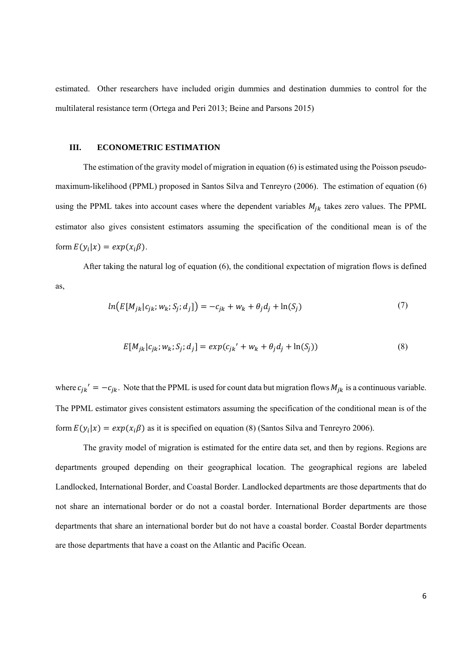estimated. Other researchers have included origin dummies and destination dummies to control for the multilateral resistance term (Ortega and Peri 2013; Beine and Parsons 2015)

#### **III. ECONOMETRIC ESTIMATION**

The estimation of the gravity model of migration in equation (6) is estimated using the Poisson pseudomaximum-likelihood (PPML) proposed in Santos Silva and Tenreyro (2006). The estimation of equation (6) using the PPML takes into account cases where the dependent variables  $M_{ik}$  takes zero values. The PPML estimator also gives consistent estimators assuming the specification of the conditional mean is of the form  $E(y_i|x) = exp(x_i\beta)$ .

After taking the natural log of equation (6), the conditional expectation of migration flows is defined as,

$$
ln(E[M_{jk}|c_{jk};w_k;S_j;d_j]) = -c_{jk} + w_k + \theta_j d_j + ln(S_j)
$$
\n(7)

$$
E[M_{jk}|c_{jk}; w_{k}; S_{j}; d_{j}] = exp(c_{jk}' + w_{k} + \theta_{j}d_{j} + \ln(S_{j}))
$$
\n(8)

where  $c_{jk}$  =  $-c_{jk}$ . Note that the PPML is used for count data but migration flows  $M_{jk}$  is a continuous variable. The PPML estimator gives consistent estimators assuming the specification of the conditional mean is of the form  $E(y_i|x) = exp(x_i\beta)$  as it is specified on equation (8) (Santos Silva and Tenreyro 2006).

The gravity model of migration is estimated for the entire data set, and then by regions. Regions are departments grouped depending on their geographical location. The geographical regions are labeled Landlocked, International Border, and Coastal Border. Landlocked departments are those departments that do not share an international border or do not a coastal border. International Border departments are those departments that share an international border but do not have a coastal border. Coastal Border departments are those departments that have a coast on the Atlantic and Pacific Ocean.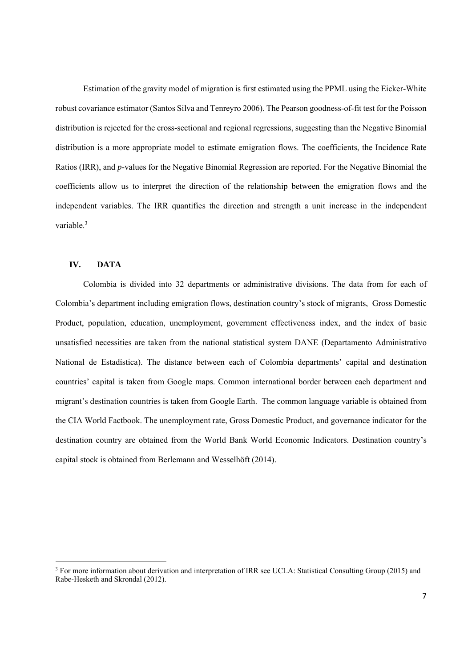Estimation of the gravity model of migration is first estimated using the PPML using the Eicker-White robust covariance estimator (Santos Silva and Tenreyro 2006). The Pearson goodness-of-fit test for the Poisson distribution is rejected for the cross-sectional and regional regressions, suggesting than the Negative Binomial distribution is a more appropriate model to estimate emigration flows. The coefficients, the Incidence Rate Ratios (IRR), and *p*-values for the Negative Binomial Regression are reported. For the Negative Binomial the coefficients allow us to interpret the direction of the relationship between the emigration flows and the independent variables. The IRR quantifies the direction and strength a unit increase in the independent variable.<sup>3</sup>

#### **IV. DATA**

Colombia is divided into 32 departments or administrative divisions. The data from for each of Colombia's department including emigration flows, destination country's stock of migrants, Gross Domestic Product, population, education, unemployment, government effectiveness index, and the index of basic unsatisfied necessities are taken from the national statistical system DANE (Departamento Administrativo National de Estadística). The distance between each of Colombia departments' capital and destination countries' capital is taken from Google maps. Common international border between each department and migrant's destination countries is taken from Google Earth. The common language variable is obtained from the CIA World Factbook. The unemployment rate, Gross Domestic Product, and governance indicator for the destination country are obtained from the World Bank World Economic Indicators. Destination country's capital stock is obtained from Berlemann and Wesselhöft (2014).

<sup>&</sup>lt;sup>3</sup> For more information about derivation and interpretation of IRR see UCLA: Statistical Consulting Group (2015) and Rabe-Hesketh and Skrondal (2012).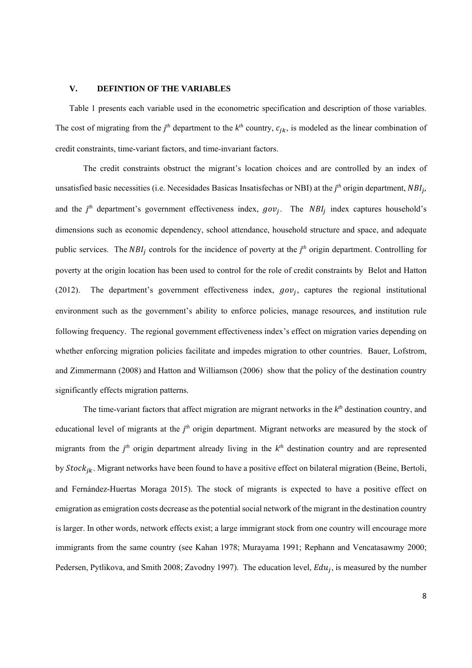#### **V. DEFINTION OF THE VARIABLES**

Table 1 presents each variable used in the econometric specification and description of those variables. The cost of migrating from the  $j<sup>th</sup>$  department to the  $k<sup>th</sup>$  country,  $c_{jk}$ , is modeled as the linear combination of credit constraints, time-variant factors, and time-invariant factors.

The credit constraints obstruct the migrant's location choices and are controlled by an index of unsatisfied basic necessities (i.e. Necesidades Basicas Insatisfechas or NBI) at the *j<sup>th</sup>* origin department, *NBI<sub>j</sub>*, and the  $j<sup>th</sup>$  department's government effectiveness index,  $gov_j$ . The  $NBI_j$  index captures household's dimensions such as economic dependency, school attendance, household structure and space, and adequate public services. The  $NBI_j$  controls for the incidence of poverty at the  $j<sup>th</sup>$  origin department. Controlling for poverty at the origin location has been used to control for the role of credit constraints by Belot and Hatton (2012). The department's government effectiveness index,  $gov_i$ , captures the regional institutional environment such as the government's ability to enforce policies, manage resources, and institution rule following frequency. The regional government effectiveness index's effect on migration varies depending on whether enforcing migration policies facilitate and impedes migration to other countries. Bauer, Lofstrom, and Zimmermann (2008) and Hatton and Williamson (2006) show that the policy of the destination country significantly effects migration patterns.

The time-variant factors that affect migration are migrant networks in the *kth* destination country, and educational level of migrants at the *j<sup>th</sup>* origin department. Migrant networks are measured by the stock of migrants from the  $j<sup>th</sup>$  origin department already living in the  $k<sup>th</sup>$  destination country and are represented by  $Stock_{ik}$ . Migrant networks have been found to have a positive effect on bilateral migration (Beine, Bertoli, and Fernández-Huertas Moraga 2015). The stock of migrants is expected to have a positive effect on emigration as emigration costs decrease as the potential social network of the migrant in the destination country is larger. In other words, network effects exist; a large immigrant stock from one country will encourage more immigrants from the same country (see Kahan 1978; Murayama 1991; Rephann and Vencatasawmy 2000; Pedersen, Pytlikova, and Smith 2008; Zavodny 1997). The education level,  $Edu_i$ , is measured by the number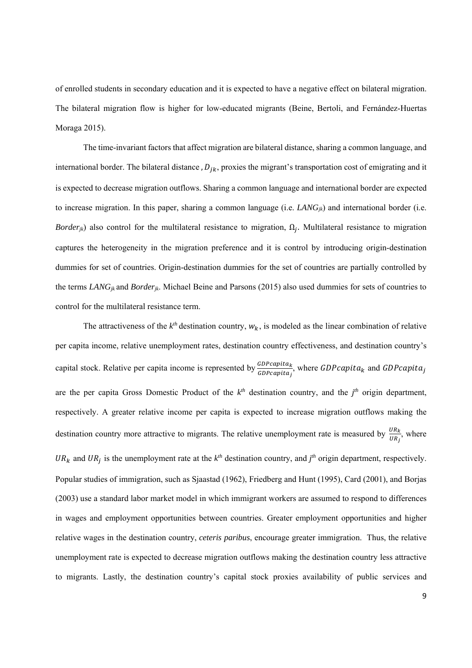of enrolled students in secondary education and it is expected to have a negative effect on bilateral migration. The bilateral migration flow is higher for low-educated migrants (Beine, Bertoli, and Fernández-Huertas Moraga 2015).

The time-invariant factors that affect migration are bilateral distance, sharing a common language, and international border. The bilateral distance ,  $D_{jk}$ , proxies the migrant's transportation cost of emigrating and it is expected to decrease migration outflows. Sharing a common language and international border are expected to increase migration. In this paper, sharing a common language (i.e.  $LANG_{ik}$ ) and international border (i.e. *Border<sub>ik</sub>*) also control for the multilateral resistance to migration,  $\Omega_i$ . Multilateral resistance to migration captures the heterogeneity in the migration preference and it is control by introducing origin-destination dummies for set of countries. Origin-destination dummies for the set of countries are partially controlled by the terms *LANGjk* and *Borderjk*. Michael Beine and Parsons (2015) also used dummies for sets of countries to control for the multilateral resistance term.

The attractiveness of the  $k^{th}$  destination country,  $W_k$ , is modeled as the linear combination of relative per capita income, relative unemployment rates, destination country effectiveness, and destination country's capital stock. Relative per capita income is represented by  $\frac{g^{D}Pcapita_k}{g^{D}Pcapita_j}$ , where  $GDPcapita_k$  and  $GDPcapita_j$ are the per capita Gross Domestic Product of the  $k^{th}$  destination country, and the  $j^{th}$  origin department, respectively. A greater relative income per capita is expected to increase migration outflows making the destination country more attractive to migrants. The relative unemployment rate is measured by  $\frac{UR_R}{ID}$  $\frac{U R_k}{U R_j}$ , where  $UR_k$  and  $UR_j$  is the unemployment rate at the  $k^{th}$  destination country, and  $j^{th}$  origin department, respectively. Popular studies of immigration, such as Sjaastad (1962), Friedberg and Hunt (1995), Card (2001), and Borjas (2003) use a standard labor market model in which immigrant workers are assumed to respond to differences in wages and employment opportunities between countries. Greater employment opportunities and higher relative wages in the destination country, *ceteris paribus*, encourage greater immigration. Thus, the relative unemployment rate is expected to decrease migration outflows making the destination country less attractive to migrants. Lastly, the destination country's capital stock proxies availability of public services and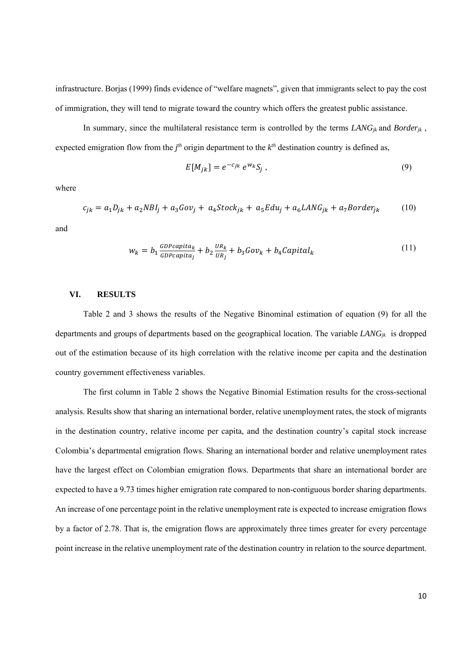infrastructure. Borjas (1999) finds evidence of "welfare magnets", given that immigrants select to pay the cost of immigration, they will tend to migrate toward the country which offers the greatest public assistance.

In summary, since the multilateral resistance term is controlled by the terms  $\text{LANG}_{ik}$  and  $\text{Border}_{ik}$ , expected emigration flow from the  $j<sup>th</sup>$  origin department to the  $k<sup>th</sup>$  destination country is defined as,

$$
E[M_{jk}] = e^{-c_{jk}} e^{w_k} S_j , \qquad (9)
$$

where

$$
c_{jk} = a_1 D_{jk} + a_2 N B l_j + a_3 G o v_j + a_4 Stock_{jk} + a_5 E d u_j + a_6 L ANG_{jk} + a_7 B order_{jk}
$$
 (10)

and

$$
w_k = b_1 \frac{GDPcapita_k}{GDPcapita_j} + b_2 \frac{UR_k}{UR_j} + b_3 Gov_k + b_4 Capital_k
$$
\n(11)

#### **VI. RESULTS**

Table 2 and 3 shows the results of the Negative Binominal estimation of equation (9) for all the departments and groups of departments based on the geographical location. The variable *LANGjk* is dropped out of the estimation because of its high correlation with the relative income per capita and the destination country government effectiveness variables.

The first column in Table 2 shows the Negative Binomial Estimation results for the cross-sectional analysis. Results show that sharing an international border, relative unemployment rates, the stock of migrants in the destination country, relative income per capita, and the destination country's capital stock increase Colombia's departmental emigration flows. Sharing an international border and relative unemployment rates have the largest effect on Colombian emigration flows. Departments that share an international border are expected to have a 9.73 times higher emigration rate compared to non-contiguous border sharing departments. An increase of one percentage point in the relative unemployment rate is expected to increase emigration flows by a factor of 2.78. That is, the emigration flows are approximately three times greater for every percentage point increase in the relative unemployment rate of the destination country in relation to the source department.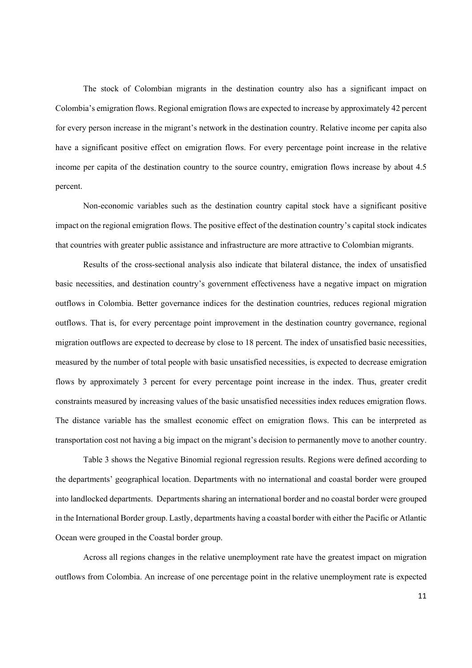The stock of Colombian migrants in the destination country also has a significant impact on Colombia's emigration flows. Regional emigration flows are expected to increase by approximately 42 percent for every person increase in the migrant's network in the destination country. Relative income per capita also have a significant positive effect on emigration flows. For every percentage point increase in the relative income per capita of the destination country to the source country, emigration flows increase by about 4.5 percent.

Non-economic variables such as the destination country capital stock have a significant positive impact on the regional emigration flows. The positive effect of the destination country's capital stock indicates that countries with greater public assistance and infrastructure are more attractive to Colombian migrants.

Results of the cross-sectional analysis also indicate that bilateral distance, the index of unsatisfied basic necessities, and destination country's government effectiveness have a negative impact on migration outflows in Colombia. Better governance indices for the destination countries, reduces regional migration outflows. That is, for every percentage point improvement in the destination country governance, regional migration outflows are expected to decrease by close to 18 percent. The index of unsatisfied basic necessities, measured by the number of total people with basic unsatisfied necessities, is expected to decrease emigration flows by approximately 3 percent for every percentage point increase in the index. Thus, greater credit constraints measured by increasing values of the basic unsatisfied necessities index reduces emigration flows. The distance variable has the smallest economic effect on emigration flows. This can be interpreted as transportation cost not having a big impact on the migrant's decision to permanently move to another country.

Table 3 shows the Negative Binomial regional regression results. Regions were defined according to the departments' geographical location. Departments with no international and coastal border were grouped into landlocked departments. Departments sharing an international border and no coastal border were grouped in the International Border group. Lastly, departments having a coastal border with either the Pacific or Atlantic Ocean were grouped in the Coastal border group.

Across all regions changes in the relative unemployment rate have the greatest impact on migration outflows from Colombia. An increase of one percentage point in the relative unemployment rate is expected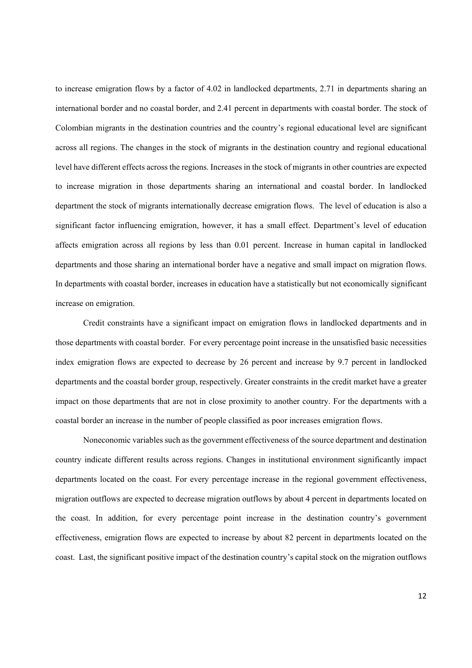to increase emigration flows by a factor of 4.02 in landlocked departments, 2.71 in departments sharing an international border and no coastal border, and 2.41 percent in departments with coastal border. The stock of Colombian migrants in the destination countries and the country's regional educational level are significant across all regions. The changes in the stock of migrants in the destination country and regional educational level have different effects across the regions. Increases in the stock of migrants in other countries are expected to increase migration in those departments sharing an international and coastal border. In landlocked department the stock of migrants internationally decrease emigration flows. The level of education is also a significant factor influencing emigration, however, it has a small effect. Department's level of education affects emigration across all regions by less than 0.01 percent. Increase in human capital in landlocked departments and those sharing an international border have a negative and small impact on migration flows. In departments with coastal border, increases in education have a statistically but not economically significant increase on emigration.

Credit constraints have a significant impact on emigration flows in landlocked departments and in those departments with coastal border. For every percentage point increase in the unsatisfied basic necessities index emigration flows are expected to decrease by 26 percent and increase by 9.7 percent in landlocked departments and the coastal border group, respectively. Greater constraints in the credit market have a greater impact on those departments that are not in close proximity to another country. For the departments with a coastal border an increase in the number of people classified as poor increases emigration flows.

Noneconomic variables such as the government effectiveness of the source department and destination country indicate different results across regions. Changes in institutional environment significantly impact departments located on the coast. For every percentage increase in the regional government effectiveness, migration outflows are expected to decrease migration outflows by about 4 percent in departments located on the coast. In addition, for every percentage point increase in the destination country's government effectiveness, emigration flows are expected to increase by about 82 percent in departments located on the coast. Last, the significant positive impact of the destination country's capital stock on the migration outflows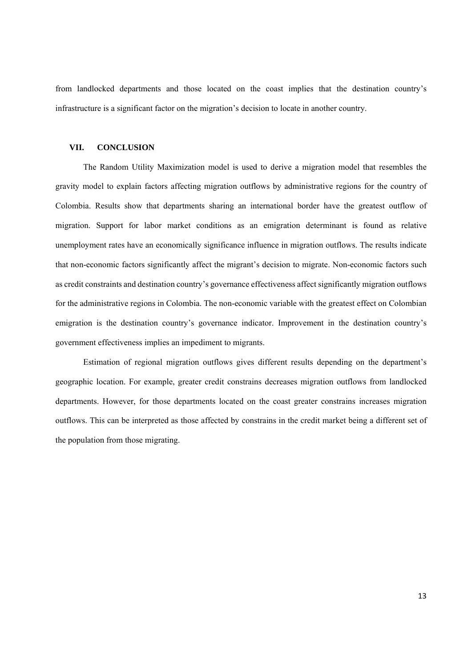from landlocked departments and those located on the coast implies that the destination country's infrastructure is a significant factor on the migration's decision to locate in another country.

#### **VII. CONCLUSION**

The Random Utility Maximization model is used to derive a migration model that resembles the gravity model to explain factors affecting migration outflows by administrative regions for the country of Colombia. Results show that departments sharing an international border have the greatest outflow of migration. Support for labor market conditions as an emigration determinant is found as relative unemployment rates have an economically significance influence in migration outflows. The results indicate that non-economic factors significantly affect the migrant's decision to migrate. Non-economic factors such as credit constraints and destination country's governance effectiveness affect significantly migration outflows for the administrative regions in Colombia. The non-economic variable with the greatest effect on Colombian emigration is the destination country's governance indicator. Improvement in the destination country's government effectiveness implies an impediment to migrants.

Estimation of regional migration outflows gives different results depending on the department's geographic location. For example, greater credit constrains decreases migration outflows from landlocked departments. However, for those departments located on the coast greater constrains increases migration outflows. This can be interpreted as those affected by constrains in the credit market being a different set of the population from those migrating.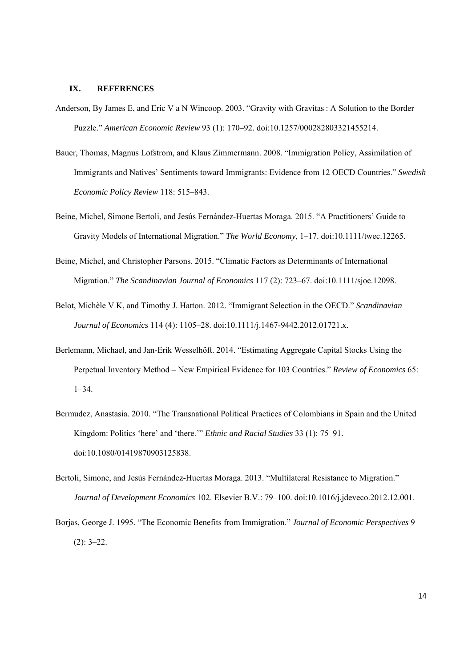#### **IX. REFERENCES**

- Anderson, By James E, and Eric V a N Wincoop. 2003. "Gravity with Gravitas : A Solution to the Border Puzzle." *American Economic Review* 93 (1): 170–92. doi:10.1257/000282803321455214.
- Bauer, Thomas, Magnus Lofstrom, and Klaus Zimmermann. 2008. "Immigration Policy, Assimilation of Immigrants and Natives' Sentiments toward Immigrants: Evidence from 12 OECD Countries." *Swedish Economic Policy Review* 118: 515–843.
- Beine, Michel, Simone Bertoli, and Jesús Fernández-Huertas Moraga. 2015. "A Practitioners' Guide to Gravity Models of International Migration." *The World Economy*, 1–17. doi:10.1111/twec.12265.
- Beine, Michel, and Christopher Parsons. 2015. "Climatic Factors as Determinants of International Migration." *The Scandinavian Journal of Economics* 117 (2): 723–67. doi:10.1111/sjoe.12098.
- Belot, Michèle V K, and Timothy J. Hatton. 2012. "Immigrant Selection in the OECD." *Scandinavian Journal of Economics* 114 (4): 1105–28. doi:10.1111/j.1467-9442.2012.01721.x.
- Berlemann, Michael, and Jan-Erik Wesselhöft. 2014. "Estimating Aggregate Capital Stocks Using the Perpetual Inventory Method – New Empirical Evidence for 103 Countries." *Review of Economics* 65:  $1 - 34$ .
- Bermudez, Anastasia. 2010. "The Transnational Political Practices of Colombians in Spain and the United Kingdom: Politics 'here' and 'there.'" *Ethnic and Racial Studies* 33 (1): 75–91. doi:10.1080/01419870903125838.
- Bertoli, Simone, and Jesús Fernández-Huertas Moraga. 2013. "Multilateral Resistance to Migration." *Journal of Development Economics* 102. Elsevier B.V.: 79–100. doi:10.1016/j.jdeveco.2012.12.001.
- Borjas, George J. 1995. "The Economic Benefits from Immigration." *Journal of Economic Perspectives* 9  $(2)$ : 3–22.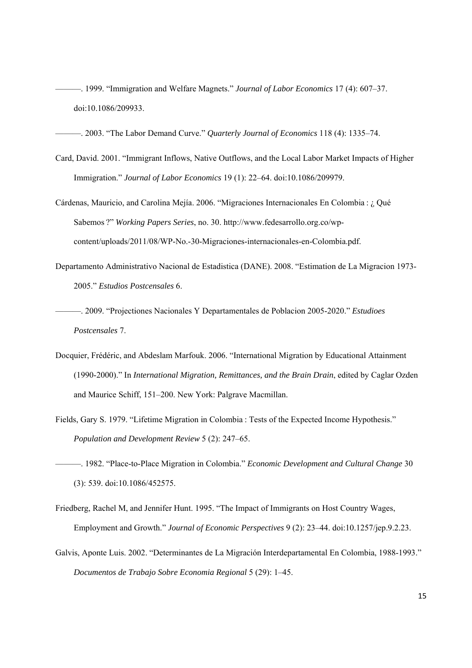———. 1999. "Immigration and Welfare Magnets." *Journal of Labor Economics* 17 (4): 607–37. doi:10.1086/209933.

———. 2003. "The Labor Demand Curve." *Quarterly Journal of Economics* 118 (4): 1335–74.

- Card, David. 2001. "Immigrant Inflows, Native Outflows, and the Local Labor Market Impacts of Higher Immigration." *Journal of Labor Economics* 19 (1): 22–64. doi:10.1086/209979.
- Cárdenas, Mauricio, and Carolina Mejía. 2006. "Migraciones Internacionales En Colombia : ¿ Qué Sabemos ?" *Working Papers Series*, no. 30. http://www.fedesarrollo.org.co/wpcontent/uploads/2011/08/WP-No.-30-Migraciones-internacionales-en-Colombia.pdf.
- Departamento Administrativo Nacional de Estadistica (DANE). 2008. "Estimation de La Migracion 1973- 2005." *Estudios Postcensales* 6.
- ———. 2009. "Projectiones Nacionales Y Departamentales de Poblacion 2005-2020." *Estudioes Postcensales* 7.
- Docquier, Frédéric, and Abdeslam Marfouk. 2006. "International Migration by Educational Attainment (1990-2000)." In *International Migration, Remittances, and the Brain Drain*, edited by Caglar Ozden and Maurice Schiff, 151–200. New York: Palgrave Macmillan.
- Fields, Gary S. 1979. "Lifetime Migration in Colombia : Tests of the Expected Income Hypothesis." *Population and Development Review* 5 (2): 247–65.
- ———. 1982. "Place-to-Place Migration in Colombia." *Economic Development and Cultural Change* 30 (3): 539. doi:10.1086/452575.
- Friedberg, Rachel M, and Jennifer Hunt. 1995. "The Impact of Immigrants on Host Country Wages, Employment and Growth." *Journal of Economic Perspectives* 9 (2): 23–44. doi:10.1257/jep.9.2.23.
- Galvis, Aponte Luis. 2002. "Determinantes de La Migración Interdepartamental En Colombia, 1988-1993." *Documentos de Trabajo Sobre Economia Regional* 5 (29): 1–45.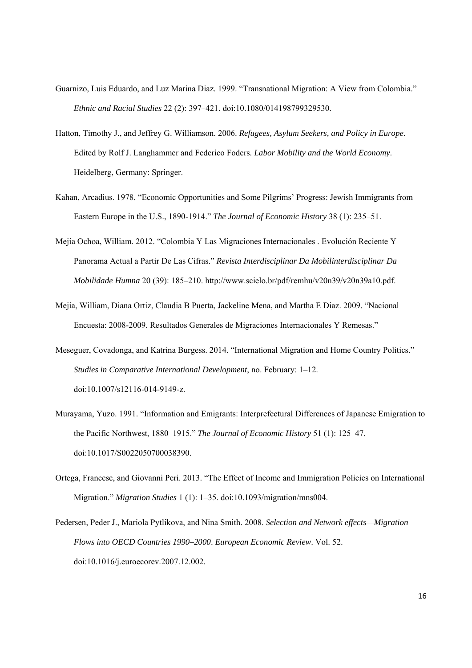- Guarnizo, Luis Eduardo, and Luz Marina Diaz. 1999. "Transnational Migration: A View from Colombia." *Ethnic and Racial Studies* 22 (2): 397–421. doi:10.1080/014198799329530.
- Hatton, Timothy J., and Jeffrey G. Williamson. 2006. *Refugees, Asylum Seekers, and Policy in Europe*. Edited by Rolf J. Langhammer and Federico Foders. *Labor Mobility and the World Economy*. Heidelberg, Germany: Springer.
- Kahan, Arcadius. 1978. "Economic Opportunities and Some Pilgrims' Progress: Jewish Immigrants from Eastern Europe in the U.S., 1890-1914." *The Journal of Economic History* 38 (1): 235–51.
- Mejía Ochoa, William. 2012. "Colombia Y Las Migraciones Internacionales . Evolución Reciente Y Panorama Actual a Partir De Las Cifras." *Revista Interdisciplinar Da Mobilinterdisciplinar Da Mobilidade Humna* 20 (39): 185–210. http://www.scielo.br/pdf/remhu/v20n39/v20n39a10.pdf.
- Mejía, William, Diana Ortiz, Claudia B Puerta, Jackeline Mena, and Martha E Diaz. 2009. "Nacional Encuesta: 2008-2009. Resultados Generales de Migraciones Internacionales Y Remesas."
- Meseguer, Covadonga, and Katrina Burgess. 2014. "International Migration and Home Country Politics." *Studies in Comparative International Development*, no. February: 1–12. doi:10.1007/s12116-014-9149-z.
- Murayama, Yuzo. 1991. "Information and Emigrants: Interprefectural Differences of Japanese Emigration to the Pacific Northwest, 1880–1915." *The Journal of Economic History* 51 (1): 125–47. doi:10.1017/S0022050700038390.
- Ortega, Francesc, and Giovanni Peri. 2013. "The Effect of Income and Immigration Policies on International Migration." *Migration Studies* 1 (1): 1–35. doi:10.1093/migration/mns004.
- Pedersen, Peder J., Mariola Pytlikova, and Nina Smith. 2008. *Selection and Network effects—Migration Flows into OECD Countries 1990–2000*. *European Economic Review*. Vol. 52. doi:10.1016/j.euroecorev.2007.12.002.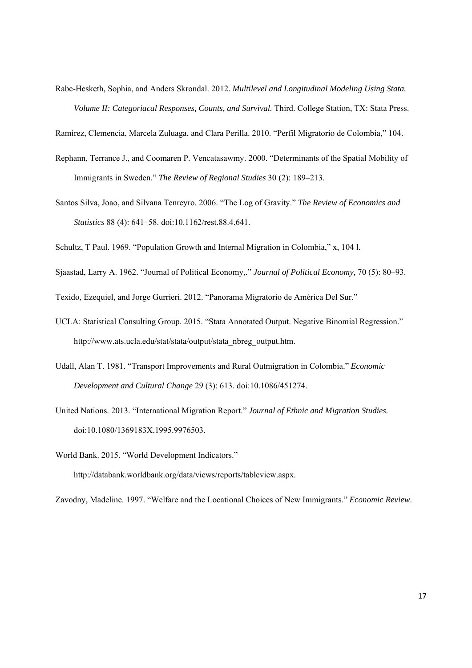Rabe-Hesketh, Sophia, and Anders Skrondal. 2012. *Multilevel and Longitudinal Modeling Using Stata. Volume II: Categoriacal Responses, Counts, and Survival.* Third. College Station, TX: Stata Press.

Ramírez, Clemencia, Marcela Zuluaga, and Clara Perilla. 2010. "Perfil Migratorio de Colombia," 104.

- Rephann, Terrance J., and Coomaren P. Vencatasawmy. 2000. "Determinants of the Spatial Mobility of Immigrants in Sweden." *The Review of Regional Studies* 30 (2): 189–213.
- Santos Silva, Joao, and Silvana Tenreyro. 2006. "The Log of Gravity." *The Review of Economics and Statistics* 88 (4): 641–58. doi:10.1162/rest.88.4.641.

Schultz, T Paul. 1969. "Population Growth and Internal Migration in Colombia," x, 104 l.

Sjaastad, Larry A. 1962. "Journal of Political Economy,." *Journal of Political Economy,* 70 (5): 80–93.

Texido, Ezequiel, and Jorge Gurrieri. 2012. "Panorama Migratorio de América Del Sur."

- UCLA: Statistical Consulting Group. 2015. "Stata Annotated Output. Negative Binomial Regression." http://www.ats.ucla.edu/stat/stata/output/stata\_nbreg\_output.htm.
- Udall, Alan T. 1981. "Transport Improvements and Rural Outmigration in Colombia." *Economic Development and Cultural Change* 29 (3): 613. doi:10.1086/451274.
- United Nations. 2013. "International Migration Report." *Journal of Ethnic and Migration Studies*. doi:10.1080/1369183X.1995.9976503.

World Bank. 2015. "World Development Indicators." http://databank.worldbank.org/data/views/reports/tableview.aspx.

Zavodny, Madeline. 1997. "Welfare and the Locational Choices of New Immigrants." *Economic Review*.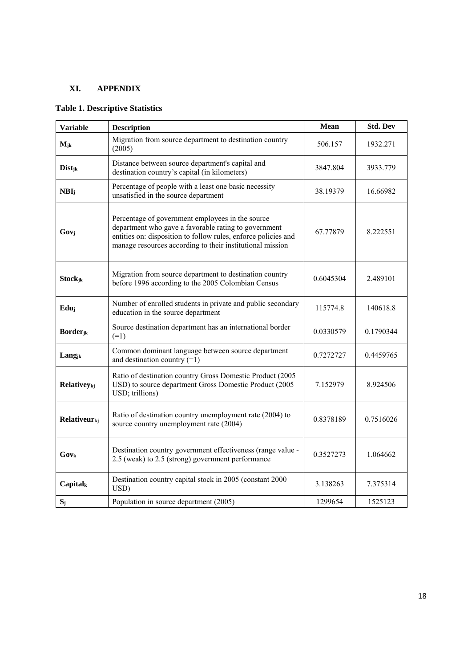### **XI. APPENDIX**

### **Table 1. Descriptive Statistics**

| <b>Variable</b>                 | <b>Description</b>                                                                                                                                                                                                                      | Mean      | <b>Std. Dev</b> |  |  |  |  |
|---------------------------------|-----------------------------------------------------------------------------------------------------------------------------------------------------------------------------------------------------------------------------------------|-----------|-----------------|--|--|--|--|
| $M_{jk}$                        | Migration from source department to destination country<br>(2005)                                                                                                                                                                       | 506.157   | 1932.271        |  |  |  |  |
| Dist <sub>ik</sub>              | Distance between source department's capital and<br>destination country's capital (in kilometers)                                                                                                                                       | 3933.779  |                 |  |  |  |  |
| NBI <sub>i</sub>                | Percentage of people with a least one basic necessity<br>unsatisfied in the source department                                                                                                                                           | 38.19379  |                 |  |  |  |  |
| $Gov_j$                         | Percentage of government employees in the source<br>department who gave a favorable rating to government<br>entities on: disposition to follow rules, enforce policies and<br>manage resources according to their institutional mission | 67.77879  | 8.222551        |  |  |  |  |
| <b>Stockjk</b>                  | Migration from source department to destination country<br>before 1996 according to the 2005 Colombian Census                                                                                                                           | 2.489101  |                 |  |  |  |  |
| Eduj                            | Number of enrolled students in private and public secondary<br>education in the source department                                                                                                                                       | 115774.8  | 140618.8        |  |  |  |  |
| $Border_{jk}$                   | Source destination department has an international border<br>$(=1)$                                                                                                                                                                     | 0.0330579 | 0.1790344       |  |  |  |  |
| Lang <sub>ik</sub>              | Common dominant language between source department<br>and destination country $(=1)$                                                                                                                                                    | 0.7272727 |                 |  |  |  |  |
| Relativeykj                     | Ratio of destination country Gross Domestic Product (2005<br>USD) to source department Gross Domestic Product (2005<br>USD; trillions)                                                                                                  | 7.152979  | 8.924506        |  |  |  |  |
| <b>Relativeur</b> <sub>ki</sub> | Ratio of destination country unemployment rate (2004) to<br>source country unemployment rate (2004)                                                                                                                                     | 0.8378189 |                 |  |  |  |  |
| Govk                            | Destination country government effectiveness (range value -<br>2.5 (weak) to 2.5 (strong) government performance                                                                                                                        | 0.3527273 | 1.064662        |  |  |  |  |
| Capitalk                        | Destination country capital stock in 2005 (constant 2000<br>USD)                                                                                                                                                                        | 7.375314  |                 |  |  |  |  |
| $S_i$                           | Population in source department (2005)                                                                                                                                                                                                  | 1299654   | 1525123         |  |  |  |  |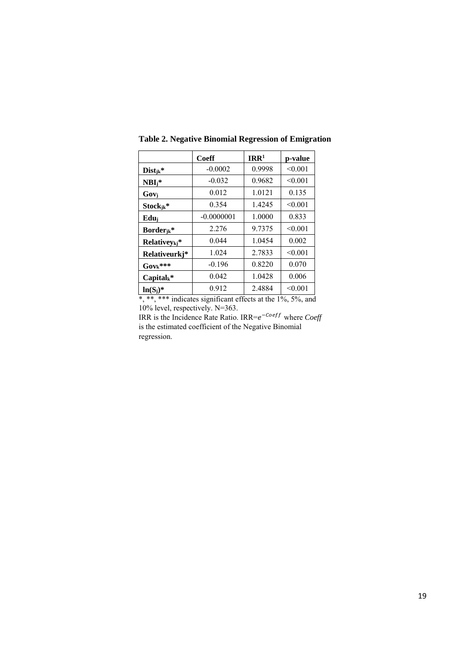|                           | Coeff        | IRR <sup>1</sup> | p-value |
|---------------------------|--------------|------------------|---------|
| $Dist_{jk}$ *             | $-0.0002$    | 0.9998           | < 0.001 |
| $NBI_i^*$                 | $-0.032$     | 0.9682           | < 0.001 |
| Govi                      | 0.012        | 1.0121           | 0.135   |
| $Stock_{ik}$ *            | 0.354        | 1.4245           | < 0.001 |
| Edui                      | $-0.0000001$ | 1.0000           | 0.833   |
| Border $ik^*$             | 2.276        | 9.7375           | < 0.001 |
| Relativey <sub>kj</sub> * | 0.044        | 1.0454           | 0.002   |
| Relativeurkj*             | 1.024        | 2.7833           | < 0.001 |
| $Gov_k$ ***               | $-0.196$     | 0.8220           | 0.070   |
| $Capital_k^*$             | 0.042        | 1.0428           | 0.006   |
| $ln(S_i)^*$               | 0.912        | 2.4884           | < 0.001 |

**Table 2. Negative Binomial Regression of Emigration** 

\*, \*\*, \*\*\* indicates significant effects at the 1%, 5%, and 10% level, respectively. N=363.

IRR is the Incidence Rate Ratio. IRR= $e^{-Coeff}$  where *Coeff* is the estimated coefficient of the Negative Binomial regression.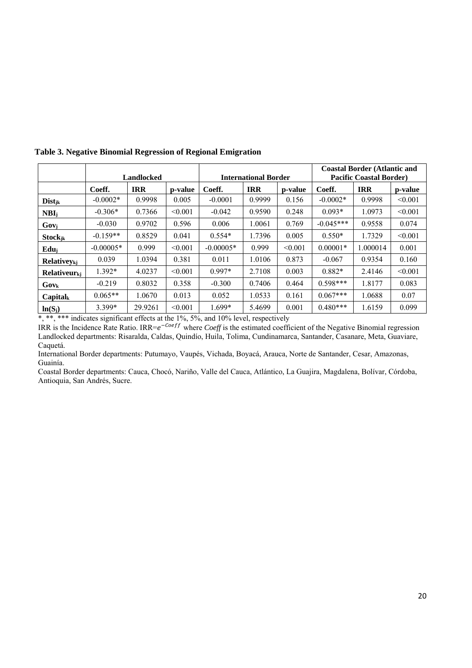|                                | Landlocked  |            |         | <b>International Border</b> |            |         | <b>Coastal Border (Atlantic and</b><br><b>Pacific Coastal Border</b> ) |            |         |
|--------------------------------|-------------|------------|---------|-----------------------------|------------|---------|------------------------------------------------------------------------|------------|---------|
|                                | Coeff.      | <b>IRR</b> | p-value | Coeff.                      | <b>IRR</b> | p-value | Coeff.                                                                 | <b>IRR</b> | p-value |
| <b>Dist</b> <sub>ik</sub>      | $-0.0002*$  | 0.9998     | 0.005   | $-0.0001$                   | 0.9999     | 0.156   | $-0.0002*$                                                             | 0.9998     | < 0.001 |
| NBI <sub>i</sub>               | $-0.306*$   | 0.7366     | < 0.001 | $-0.042$                    | 0.9590     | 0.248   | $0.093*$                                                               | 1.0973     | < 0.001 |
| $Gov_j$                        | $-0.030$    | 0.9702     | 0.596   | 0.006                       | 1.0061     | 0.769   | $-0.045***$                                                            | 0.9558     | 0.074   |
| Stockjk                        | $-0.159**$  | 0.8529     | 0.041   | $0.554*$                    | 1.7396     | 0.005   | $0.550*$                                                               | 1.7329     | < 0.001 |
| Edu <sub>i</sub>               | $-0.00005*$ | 0.999      | < 0.001 | $-0.00005*$                 | 0.999      | < 0.001 | $0.00001*$                                                             | 1.000014   | 0.001   |
| <b>Relativev</b> <sub>ki</sub> | 0.039       | 1.0394     | 0.381   | 0.011                       | 1.0106     | 0.873   | $-0.067$                                                               | 0.9354     | 0.160   |
| Relativeur <sub>ki</sub>       | $1.392*$    | 4.0237     | < 0.001 | $0.997*$                    | 2.7108     | 0.003   | $0.882*$                                                               | 2.4146     | < 0.001 |
| $Gov_{k}$                      | $-0.219$    | 0.8032     | 0.358   | $-0.300$                    | 0.7406     | 0.464   | $0.598***$                                                             | 1.8177     | 0.083   |
| $Capital_k$                    | $0.065**$   | 1.0670     | 0.013   | 0.052                       | 1.0533     | 0.161   | $0.067***$                                                             | 1.0688     | 0.07    |
| $ln(S_i)$                      | 3.399*      | 29.9261    | < 0.001 | $1.699*$                    | 5.4699     | 0.001   | $0.480***$                                                             | 1.6159     | 0.099   |

**Table 3. Negative Binomial Regression of Regional Emigration** 

\*, \*\*, \*\*\* indicates significant effects at the 1%, 5%, and 10% level, respectively

IRR is the Incidence Rate Ratio. IRR= $e^{-\text{Coeff}}$  where *Coeff* is the estimated coefficient of the Negative Binomial regression Landlocked departments: Risaralda, Caldas, Quindío, Huila, Tolima, Cundinamarca, Santander, Casanare, Meta, Guaviare, Caquetá.

International Border departments: Putumayo, Vaupés, Vichada, Boyacá, Arauca, Norte de Santander, Cesar, Amazonas, Guainía.

Coastal Border departments: Cauca, Chocó, Nariño, Valle del Cauca, Atlántico, La Guajira, Magdalena, Bolívar, Córdoba, Antioquia, San Andrés, Sucre.